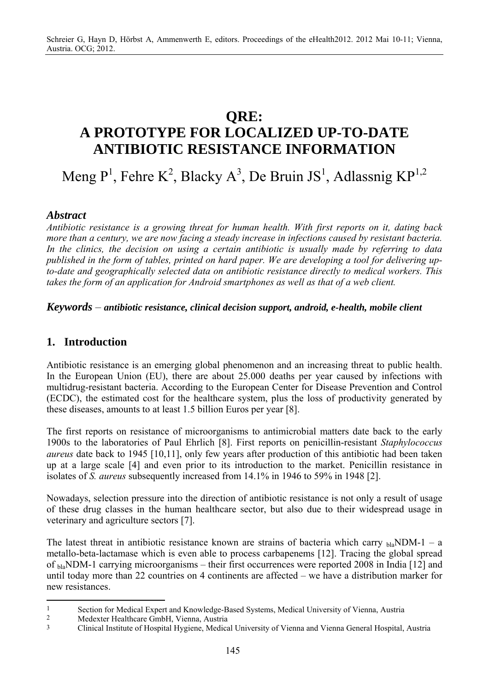# **QRE: A PROTOTYPE FOR LOCALIZED UP-TO-DATE ANTIBIOTIC RESISTANCE INFORMATION**

Meng  $P<sup>1</sup>$ , Fehre K<sup>2</sup>, Blacky A<sup>3</sup>, De Bruin JS<sup>1</sup>, Adlassnig KP<sup>1,2</sup>

## *Abstract*

*Antibiotic resistance is a growing threat for human health. With first reports on it, dating back more than a century, we are now facing a steady increase in infections caused by resistant bacteria. In the clinics, the decision on using a certain antibiotic is usually made by referring to data published in the form of tables, printed on hard paper. We are developing a tool for delivering upto-date and geographically selected data on antibiotic resistance directly to medical workers. This takes the form of an application for Android smartphones as well as that of a web client.* 

*Keywords* – *antibiotic resistance, clinical decision support, android, e-health, mobile client*

## **1. Introduction**

 $\overline{a}$ 

Antibiotic resistance is an emerging global phenomenon and an increasing threat to public health. In the European Union (EU), there are about 25.000 deaths per year caused by infections with multidrug-resistant bacteria. According to the European Center for Disease Prevention and Control (ECDC), the estimated cost for the healthcare system, plus the loss of productivity generated by these diseases, amounts to at least 1.5 billion Euros per year [8].

The first reports on resistance of microorganisms to antimicrobial matters date back to the early 1900s to the laboratories of Paul Ehrlich [8]. First reports on penicillin-resistant *Staphylococcus aureus* date back to 1945 [10,11], only few years after production of this antibiotic had been taken up at a large scale [4] and even prior to its introduction to the market. Penicillin resistance in isolates of *S. aureus* subsequently increased from 14.1% in 1946 to 59% in 1948 [2].

Nowadays, selection pressure into the direction of antibiotic resistance is not only a result of usage of these drug classes in the human healthcare sector, but also due to their widespread usage in veterinary and agriculture sectors [7].

The latest threat in antibiotic resistance known are strains of bacteria which carry  $_{\text{bla}}$ NDM-1 – a metallo-beta-lactamase which is even able to process carbapenems [12]. Tracing the global spread of <sub>bla</sub>NDM-1 carrying microorganisms – their first occurrences were reported 2008 in India [12] and until today more than 22 countries on 4 continents are affected – we have a distribution marker for new resistances.

<sup>1</sup> Section for Medical Expert and Knowledge-Based Systems, Medical University of Vienna, Austria<br>2 Medexter Healthcare GmbH, Vienna, Austria

<sup>2</sup> Medexter Healthcare GmbH, Vienna, Austria

<sup>3</sup> Clinical Institute of Hospital Hygiene, Medical University of Vienna and Vienna General Hospital, Austria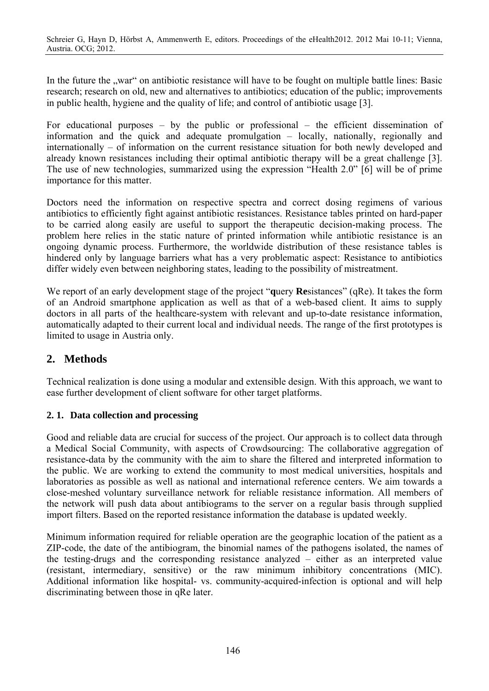In the future the "war" on antibiotic resistance will have to be fought on multiple battle lines: Basic research; research on old, new and alternatives to antibiotics; education of the public; improvements in public health, hygiene and the quality of life; and control of antibiotic usage [3].

For educational purposes – by the public or professional – the efficient dissemination of information and the quick and adequate promulgation – locally, nationally, regionally and internationally – of information on the current resistance situation for both newly developed and already known resistances including their optimal antibiotic therapy will be a great challenge [3]. The use of new technologies, summarized using the expression "Health 2.0" [6] will be of prime importance for this matter.

Doctors need the information on respective spectra and correct dosing regimens of various antibiotics to efficiently fight against antibiotic resistances. Resistance tables printed on hard-paper to be carried along easily are useful to support the therapeutic decision-making process. The problem here relies in the static nature of printed information while antibiotic resistance is an ongoing dynamic process. Furthermore, the worldwide distribution of these resistance tables is hindered only by language barriers what has a very problematic aspect: Resistance to antibiotics differ widely even between neighboring states, leading to the possibility of mistreatment.

We report of an early development stage of the project "**q**uery **Re**sistances" (qRe). It takes the form of an Android smartphone application as well as that of a web-based client. It aims to supply doctors in all parts of the healthcare-system with relevant and up-to-date resistance information, automatically adapted to their current local and individual needs. The range of the first prototypes is limited to usage in Austria only.

## **2. Methods**

Technical realization is done using a modular and extensible design. With this approach, we want to ease further development of client software for other target platforms.

## **2. 1. Data collection and processing**

Good and reliable data are crucial for success of the project. Our approach is to collect data through a Medical Social Community, with aspects of Crowdsourcing: The collaborative aggregation of resistance-data by the community with the aim to share the filtered and interpreted information to the public. We are working to extend the community to most medical universities, hospitals and laboratories as possible as well as national and international reference centers. We aim towards a close-meshed voluntary surveillance network for reliable resistance information. All members of the network will push data about antibiograms to the server on a regular basis through supplied import filters. Based on the reported resistance information the database is updated weekly.

Minimum information required for reliable operation are the geographic location of the patient as a ZIP-code, the date of the antibiogram, the binomial names of the pathogens isolated, the names of the testing-drugs and the corresponding resistance analyzed – either as an interpreted value (resistant, intermediary, sensitive) or the raw minimum inhibitory concentrations (MIC). Additional information like hospital- vs. community-acquired-infection is optional and will help discriminating between those in qRe later.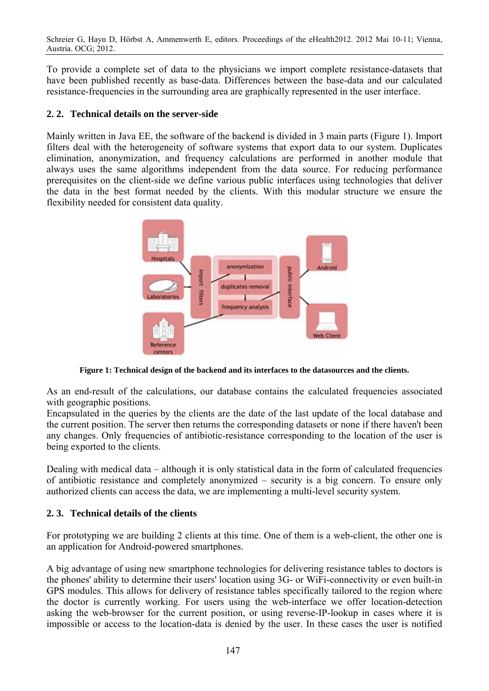To provide a complete set of data to the physicians we import complete resistance-datasets that have been published recently as base-data. Differences between the base-data and our calculated resistance-frequencies in the surrounding area are graphically represented in the user interface.

#### **2. 2. Technical details on the server-side**

Mainly written in Java EE, the software of the backend is divided in 3 main parts (Figure 1). Import filters deal with the heterogeneity of software systems that export data to our system. Duplicates elimination, anonymization, and frequency calculations are performed in another module that always uses the same algorithms independent from the data source. For reducing performance prerequisites on the client-side we define various public interfaces using technologies that deliver the data in the best format needed by the clients. With this modular structure we ensure the flexibility needed for consistent data quality.



**Figure 1: Technical design of the backend and its interfaces to the datasources and the clients.**

As an end-result of the calculations, our database contains the calculated frequencies associated with geographic positions.

Encapsulated in the queries by the clients are the date of the last update of the local database and the current position. The server then returns the corresponding datasets or none if there haven't been any changes. Only frequencies of antibiotic-resistance corresponding to the location of the user is being exported to the clients.

Dealing with medical data – although it is only statistical data in the form of calculated frequencies of antibiotic resistance and completely anonymized – security is a big concern. To ensure only authorized clients can access the data, we are implementing a multi-level security system.

#### **2. 3. Technical details of the clients**

For prototyping we are building 2 clients at this time. One of them is a web-client, the other one is an application for Android-powered smartphones.

A big advantage of using new smartphone technologies for delivering resistance tables to doctors is the phones' ability to determine their users' location using 3G- or WiFi-connectivity or even built-in GPS modules. This allows for delivery of resistance tables specifically tailored to the region where the doctor is currently working. For users using the web-interface we offer location-detection asking the web-browser for the current position, or using reverse-IP-lookup in cases where it is impossible or access to the location-data is denied by the user. In these cases the user is notified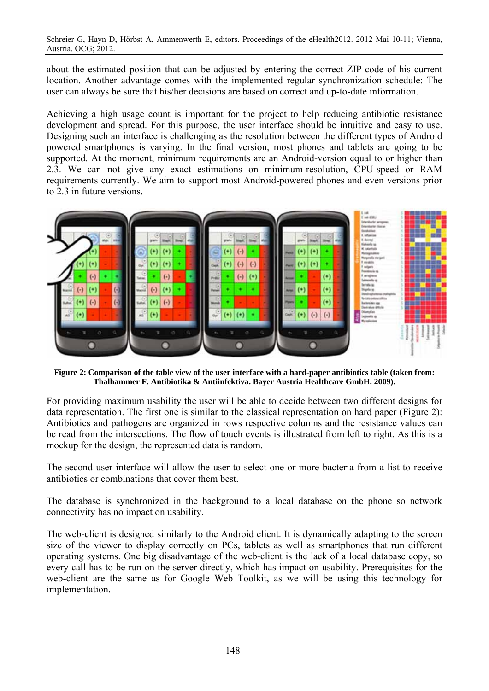about the estimated position that can be adjusted by entering the correct ZIP-code of his current location. Another advantage comes with the implemented regular synchronization schedule: The user can always be sure that his/her decisions are based on correct and up-to-date information.

Achieving a high usage count is important for the project to help reducing antibiotic resistance development and spread. For this purpose, the user interface should be intuitive and easy to use. Designing such an interface is challenging as the resolution between the different types of Android powered smartphones is varying. In the final version, most phones and tablets are going to be supported. At the moment, minimum requirements are an Android-version equal to or higher than 2.3. We can not give any exact estimations on minimum-resolution, CPU-speed or RAM requirements currently. We aim to support most Android-powered phones and even versions prior to 2.3 in future versions.



**Figure 2: Comparison of the table view of the user interface with a hard-paper antibiotics table (taken from: Thalhammer F. Antibiotika & Antiinfektiva. Bayer Austria Healthcare GmbH. 2009).** 

For providing maximum usability the user will be able to decide between two different designs for data representation. The first one is similar to the classical representation on hard paper (Figure 2): Antibiotics and pathogens are organized in rows respective columns and the resistance values can be read from the intersections. The flow of touch events is illustrated from left to right. As this is a mockup for the design, the represented data is random.

The second user interface will allow the user to select one or more bacteria from a list to receive antibiotics or combinations that cover them best.

The database is synchronized in the background to a local database on the phone so network connectivity has no impact on usability.

The web-client is designed similarly to the Android client. It is dynamically adapting to the screen size of the viewer to display correctly on PCs, tablets as well as smartphones that run different operating systems. One big disadvantage of the web-client is the lack of a local database copy, so every call has to be run on the server directly, which has impact on usability. Prerequisites for the web-client are the same as for Google Web Toolkit, as we will be using this technology for implementation.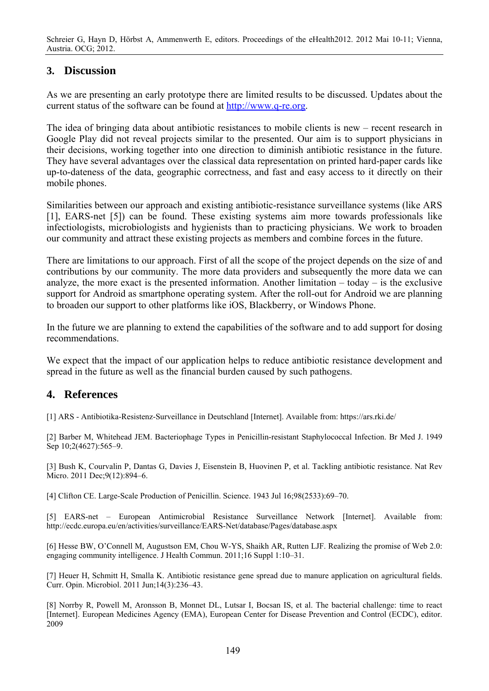### **3. Discussion**

As we are presenting an early prototype there are limited results to be discussed. Updates about the current status of the software can be found at http://www.q-re.org.

The idea of bringing data about antibiotic resistances to mobile clients is new – recent research in Google Play did not reveal projects similar to the presented. Our aim is to support physicians in their decisions, working together into one direction to diminish antibiotic resistance in the future. They have several advantages over the classical data representation on printed hard-paper cards like up-to-dateness of the data, geographic correctness, and fast and easy access to it directly on their mobile phones.

Similarities between our approach and existing antibiotic-resistance surveillance systems (like ARS [1], EARS-net [5]) can be found. These existing systems aim more towards professionals like infectiologists, microbiologists and hygienists than to practicing physicians. We work to broaden our community and attract these existing projects as members and combine forces in the future.

There are limitations to our approach. First of all the scope of the project depends on the size of and contributions by our community. The more data providers and subsequently the more data we can analyze, the more exact is the presented information. Another limitation – today – is the exclusive support for Android as smartphone operating system. After the roll-out for Android we are planning to broaden our support to other platforms like iOS, Blackberry, or Windows Phone.

In the future we are planning to extend the capabilities of the software and to add support for dosing recommendations.

We expect that the impact of our application helps to reduce antibiotic resistance development and spread in the future as well as the financial burden caused by such pathogens.

### **4. References**

[1] ARS - Antibiotika-Resistenz-Surveillance in Deutschland [Internet]. Available from: https://ars.rki.de/

[2] Barber M, Whitehead JEM. Bacteriophage Types in Penicillin-resistant Staphylococcal Infection. Br Med J. 1949 Sep 10;2(4627):565-9.

[3] Bush K, Courvalin P, Dantas G, Davies J, Eisenstein B, Huovinen P, et al. Tackling antibiotic resistance. Nat Rev Micro. 2011 Dec;9(12):894–6.

[4] Clifton CE. Large-Scale Production of Penicillin. Science. 1943 Jul 16;98(2533):69–70.

[5] EARS-net – European Antimicrobial Resistance Surveillance Network [Internet]. Available from: http://ecdc.europa.eu/en/activities/surveillance/EARS-Net/database/Pages/database.aspx

[6] Hesse BW, O'Connell M, Augustson EM, Chou W-YS, Shaikh AR, Rutten LJF. Realizing the promise of Web 2.0: engaging community intelligence. J Health Commun. 2011;16 Suppl 1:10–31.

[7] Heuer H, Schmitt H, Smalla K. Antibiotic resistance gene spread due to manure application on agricultural fields. Curr. Opin. Microbiol. 2011 Jun;14(3):236–43.

[8] Norrby R, Powell M, Aronsson B, Monnet DL, Lutsar I, Bocsan IS, et al. The bacterial challenge: time to react [Internet]. European Medicines Agency (EMA), European Center for Disease Prevention and Control (ECDC), editor. 2009